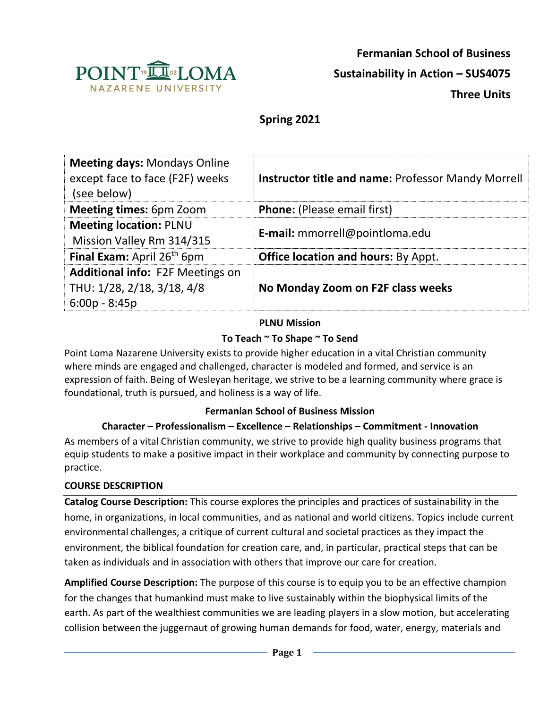

# **Spring 2021**

| <b>Meeting days: Mondays Online</b><br>except face to face (F2F) weeks<br>(see below)    | <b>Instructor title and name: Professor Mandy Morrell</b> |
|------------------------------------------------------------------------------------------|-----------------------------------------------------------|
| <b>Meeting times: 6pm Zoom</b>                                                           | <b>Phone:</b> (Please email first)                        |
| <b>Meeting location: PLNU</b><br>Mission Valley Rm 314/315                               | <b>E-mail:</b> mmorrell@pointloma.edu                     |
| Final Exam: April 26 <sup>th</sup> 6pm                                                   | <b>Office location and hours: By Appt.</b>                |
| <b>Additional info: F2F Meetings on</b><br>THU: 1/28, 2/18, 3/18, 4/8<br>$6:00p - 8:45p$ | No Monday Zoom on F2F class weeks                         |

#### **PLNU Mission**

## **To Teach ~ To Shape ~ To Send**

Point Loma Nazarene University exists to provide higher education in a vital Christian community where minds are engaged and challenged, character is modeled and formed, and service is an expression of faith. Being of Wesleyan heritage, we strive to be a learning community where grace is foundational, truth is pursued, and holiness is a way of life.

#### **Fermanian School of Business Mission**

## **Character – Professionalism – Excellence – Relationships – Commitment - Innovation**

As members of a vital Christian community, we strive to provide high quality business programs that equip students to make a positive impact in their workplace and community by connecting purpose to practice.

## **COURSE DESCRIPTION**

**Catalog Course Description:** This course explores the principles and practices of sustainability in the home, in organizations, in local communities, and as national and world citizens. Topics include current environmental challenges, a critique of current cultural and societal practices as they impact the environment, the biblical foundation for creation care, and, in particular, practical steps that can be taken as individuals and in association with others that improve our care for creation.

**Amplified Course Description:** The purpose of this course is to equip you to be an effective champion for the changes that humankind must make to live sustainably within the biophysical limits of the earth. As part of the wealthiest communities we are leading players in a slow motion, but accelerating collision between the juggernaut of growing human demands for food, water, energy, materials and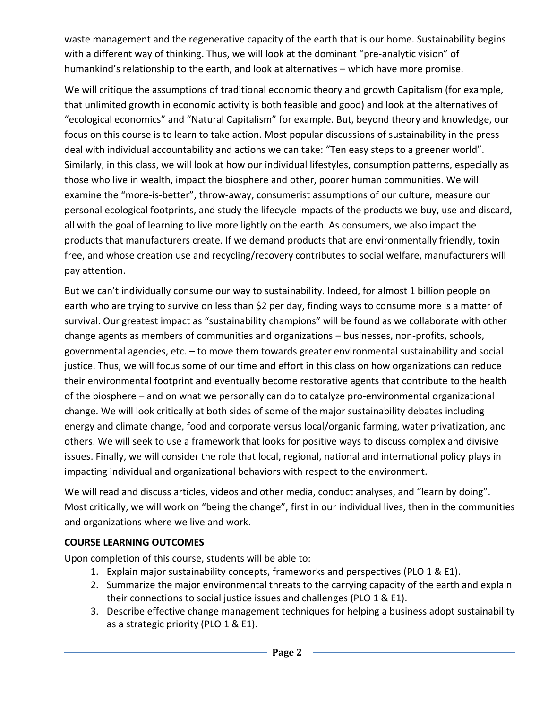waste management and the regenerative capacity of the earth that is our home. Sustainability begins with a different way of thinking. Thus, we will look at the dominant "pre-analytic vision" of humankind's relationship to the earth, and look at alternatives – which have more promise.

We will critique the assumptions of traditional economic theory and growth Capitalism (for example, that unlimited growth in economic activity is both feasible and good) and look at the alternatives of "ecological economics" and "Natural Capitalism" for example. But, beyond theory and knowledge, our focus on this course is to learn to take action. Most popular discussions of sustainability in the press deal with individual accountability and actions we can take: "Ten easy steps to a greener world". Similarly, in this class, we will look at how our individual lifestyles, consumption patterns, especially as those who live in wealth, impact the biosphere and other, poorer human communities. We will examine the "more-is-better", throw-away, consumerist assumptions of our culture, measure our personal ecological footprints, and study the lifecycle impacts of the products we buy, use and discard, all with the goal of learning to live more lightly on the earth. As consumers, we also impact the products that manufacturers create. If we demand products that are environmentally friendly, toxin free, and whose creation use and recycling/recovery contributes to social welfare, manufacturers will pay attention.

But we can't individually consume our way to sustainability. Indeed, for almost 1 billion people on earth who are trying to survive on less than \$2 per day, finding ways to consume more is a matter of survival. Our greatest impact as "sustainability champions" will be found as we collaborate with other change agents as members of communities and organizations – businesses, non-profits, schools, governmental agencies, etc. – to move them towards greater environmental sustainability and social justice. Thus, we will focus some of our time and effort in this class on how organizations can reduce their environmental footprint and eventually become restorative agents that contribute to the health of the biosphere – and on what we personally can do to catalyze pro-environmental organizational change. We will look critically at both sides of some of the major sustainability debates including energy and climate change, food and corporate versus local/organic farming, water privatization, and others. We will seek to use a framework that looks for positive ways to discuss complex and divisive issues. Finally, we will consider the role that local, regional, national and international policy plays in impacting individual and organizational behaviors with respect to the environment.

We will read and discuss articles, videos and other media, conduct analyses, and "learn by doing". Most critically, we will work on "being the change", first in our individual lives, then in the communities and organizations where we live and work.

## **COURSE LEARNING OUTCOMES**

Upon completion of this course, students will be able to:

- 1. Explain major sustainability concepts, frameworks and perspectives (PLO 1 & E1).
- 2. Summarize the major environmental threats to the carrying capacity of the earth and explain their connections to social justice issues and challenges (PLO 1 & E1).
- 3. Describe effective change management techniques for helping a business adopt sustainability as a strategic priority (PLO 1 & E1).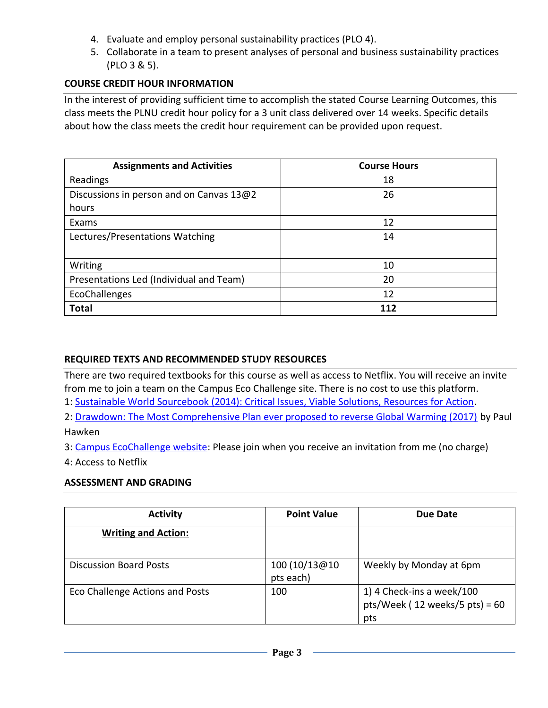- 4. Evaluate and employ personal sustainability practices (PLO 4).
- 5. Collaborate in a team to present analyses of personal and business sustainability practices (PLO 3 & 5).

#### **COURSE CREDIT HOUR INFORMATION**

In the interest of providing sufficient time to accomplish the stated Course Learning Outcomes, this class meets the PLNU credit hour policy for a 3 unit class delivered over 14 weeks. Specific details about how the class meets the credit hour requirement can be provided upon request.

| <b>Assignments and Activities</b>        | <b>Course Hours</b> |
|------------------------------------------|---------------------|
| Readings                                 | 18                  |
| Discussions in person and on Canvas 13@2 | 26                  |
| hours                                    |                     |
| Exams                                    | 12                  |
| Lectures/Presentations Watching          | 14                  |
|                                          |                     |
| Writing                                  | 10                  |
| Presentations Led (Individual and Team)  | 20                  |
| EcoChallenges                            | 12                  |
| <b>Total</b>                             | 112                 |

#### **REQUIRED TEXTS AND RECOMMENDED STUDY RESOURCES**

There are two required textbooks for this course as well as access to Netflix. You will receive an invite from me to join a team on the Campus Eco Challenge site. There is no cost to use this platform.

1: [Sustainable World Sourcebook \(2014\): Critical Issues, Viable Solutions, Resources for Action.](https://www.amazon.com/Sustainable-Sourcebook-Inspiring-Solutions-Resources/dp/0983830436/ref=sr_1_fkmr1_1?dchild=1&keywords=sustainable+world+sourcebook+2014&qid=1596934636&s=books&sr=1-1-fkmr1)

2: [Drawdown: The Most Comprehensive Plan ever proposed to reverse Global Warming \(2017\)](https://www.amazon.com/Drawdown-Comprehensive-Proposed-Reverse-Warming/dp/0143130447) by Paul Hawken

3: [Campus EcoChallenge website:](https://campus.ecochallenge.org/) Please join when you receive an invitation from me (no charge)

4: Access to Netflix

#### **ASSESSMENT AND GRADING**

| <b>Activity</b>                 | <b>Point Value</b>         | <b>Due Date</b>                                                       |
|---------------------------------|----------------------------|-----------------------------------------------------------------------|
| <b>Writing and Action:</b>      |                            |                                                                       |
| <b>Discussion Board Posts</b>   | 100 (10/13@10<br>pts each) | Weekly by Monday at 6pm                                               |
| Eco Challenge Actions and Posts | 100                        | 1) 4 Check-ins a week/100<br>pts/Week ( $12$ weeks/5 pts) = 60<br>pts |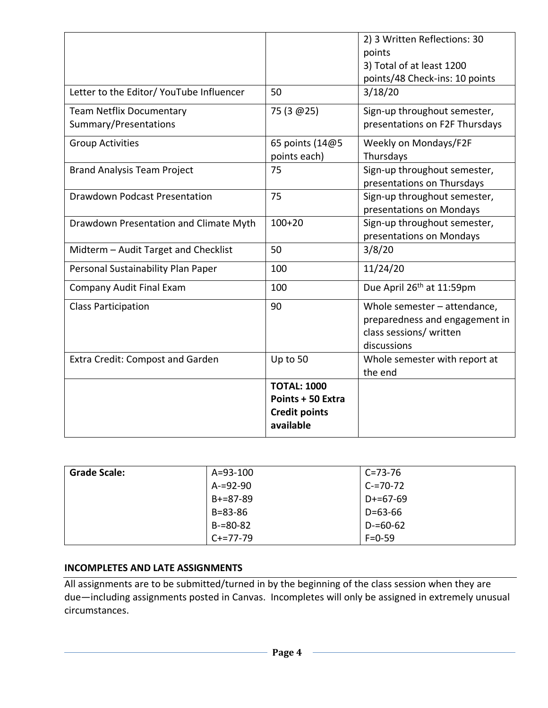|                                                          |                                                                              | 2) 3 Written Reflections: 30<br>points                                                                   |
|----------------------------------------------------------|------------------------------------------------------------------------------|----------------------------------------------------------------------------------------------------------|
|                                                          |                                                                              | 3) Total of at least 1200<br>points/48 Check-ins: 10 points                                              |
| Letter to the Editor/ YouTube Influencer                 | 50                                                                           | 3/18/20                                                                                                  |
| <b>Team Netflix Documentary</b><br>Summary/Presentations | 75 (3 @ 25)                                                                  | Sign-up throughout semester,<br>presentations on F2F Thursdays                                           |
| <b>Group Activities</b>                                  | 65 points (14@5<br>points each)                                              | Weekly on Mondays/F2F<br>Thursdays                                                                       |
| <b>Brand Analysis Team Project</b>                       | 75                                                                           | Sign-up throughout semester,<br>presentations on Thursdays                                               |
| <b>Drawdown Podcast Presentation</b>                     | 75                                                                           | Sign-up throughout semester,<br>presentations on Mondays                                                 |
| Drawdown Presentation and Climate Myth                   | $100+20$                                                                     | Sign-up throughout semester,<br>presentations on Mondays                                                 |
| Midterm - Audit Target and Checklist                     | 50                                                                           | 3/8/20                                                                                                   |
| Personal Sustainability Plan Paper                       | 100                                                                          | 11/24/20                                                                                                 |
| Company Audit Final Exam                                 | 100                                                                          | Due April 26 <sup>th</sup> at 11:59pm                                                                    |
| <b>Class Participation</b>                               | 90                                                                           | Whole semester - attendance,<br>preparedness and engagement in<br>class sessions/ written<br>discussions |
| Extra Credit: Compost and Garden                         | Up to 50                                                                     | Whole semester with report at<br>the end                                                                 |
|                                                          | <b>TOTAL: 1000</b><br>Points + 50 Extra<br><b>Credit points</b><br>available |                                                                                                          |

| <b>Grade Scale:</b> | $A = 93 - 100$ | C=73-76       |
|---------------------|----------------|---------------|
|                     | $A = 92 - 90$  | $C = 70 - 72$ |
|                     | $B+=87-89$     | D+=67-69      |
|                     | $B = 83 - 86$  | D=63-66       |
|                     | $B = 80 - 82$  | D-=60-62      |
|                     | $C+=77-79$     | $F = 0.59$    |

### **INCOMPLETES AND LATE ASSIGNMENTS**

All assignments are to be submitted/turned in by the beginning of the class session when they are due—including assignments posted in Canvas. Incompletes will only be assigned in extremely unusual circumstances.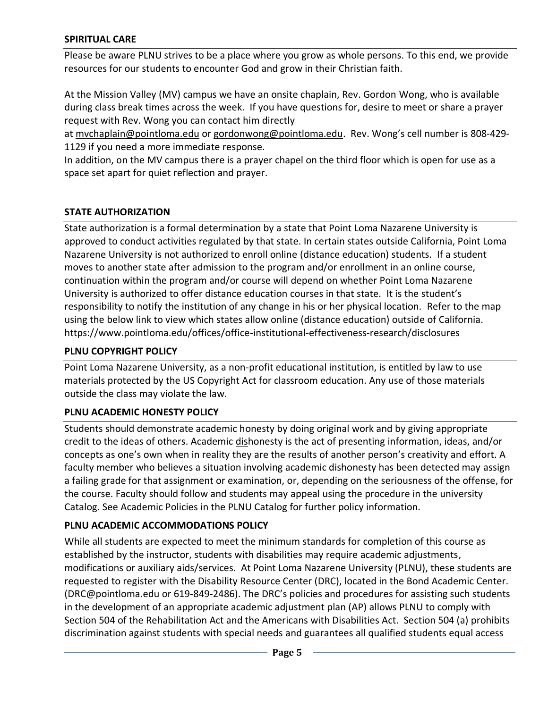#### **SPIRITUAL CARE**

Please be aware PLNU strives to be a place where you grow as whole persons. To this end, we provide resources for our students to encounter God and grow in their Christian faith.

At the Mission Valley (MV) campus we have an onsite chaplain, Rev. Gordon Wong, who is available during class break times across the week. If you have questions for, desire to meet or share a prayer request with Rev. Wong you can contact him directly

at [mvchaplain@pointloma.edu](mailto:mvchaplain@pointloma.edu) or [gordonwong@pointloma.edu.](mailto:gordonwong@pointloma.edu) Rev. Wong's cell number is 808-429- 1129 if you need a more immediate response.

In addition, on the MV campus there is a prayer chapel on the third floor which is open for use as a space set apart for quiet reflection and prayer.

## **STATE AUTHORIZATION**

State authorization is a formal determination by a state that Point Loma Nazarene University is approved to conduct activities regulated by that state. In certain states outside California, Point Loma Nazarene University is not authorized to enroll online (distance education) students. If a student moves to another state after admission to the program and/or enrollment in an online course, continuation within the program and/or course will depend on whether Point Loma Nazarene University is authorized to offer distance education courses in that state. It is the student's responsibility to notify the institution of any change in his or her physical location. Refer to the map using the below link to view which states allow online (distance education) outside of California. <https://www.pointloma.edu/offices/office-institutional-effectiveness-research/disclosures>

#### **PLNU COPYRIGHT POLICY**

Point Loma Nazarene University, as a non-profit educational institution, is entitled by law to use materials protected by the US Copyright Act for classroom education. Any use of those materials outside the class may violate the law.

## **PLNU ACADEMIC HONESTY POLICY**

Students should demonstrate academic honesty by doing original work and by giving appropriate credit to the ideas of others. Academic dishonesty is the act of presenting information, ideas, and/or concepts as one's own when in reality they are the results of another person's creativity and effort. A faculty member who believes a situation involving academic dishonesty has been detected may assign a failing grade for that assignment or examination, or, depending on the seriousness of the offense, for the course. Faculty should follow and students may appeal using the procedure in the university Catalog. See Academic Policies in the PLNU Catalog for further policy information.

## **PLNU ACADEMIC ACCOMMODATIONS POLICY**

While all students are expected to meet the minimum standards for completion of this course as established by the instructor, students with disabilities may require academic adjustments, modifications or auxiliary aids/services. At Point Loma Nazarene University (PLNU), these students are requested to register with the Disability Resource Center (DRC), located in the Bond Academic Center. (DRC@pointloma.edu or 619-849-2486). The DRC's policies and procedures for assisting such students in the development of an appropriate academic adjustment plan (AP) allows PLNU to comply with Section 504 of the Rehabilitation Act and the Americans with Disabilities Act. Section 504 (a) prohibits discrimination against students with special needs and guarantees all qualified students equal access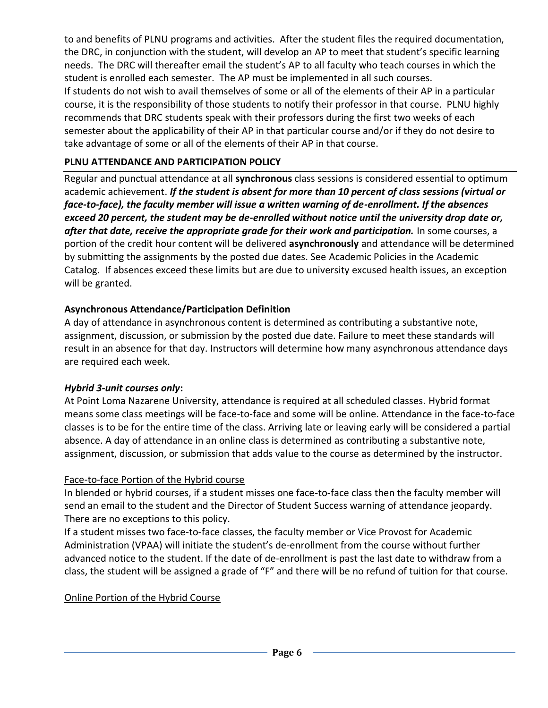to and benefits of PLNU programs and activities. After the student files the required documentation, the DRC, in conjunction with the student, will develop an AP to meet that student's specific learning needs. The DRC will thereafter email the student's AP to all faculty who teach courses in which the student is enrolled each semester. The AP must be implemented in all such courses. If students do not wish to avail themselves of some or all of the elements of their AP in a particular course, it is the responsibility of those students to notify their professor in that course. PLNU highly recommends that DRC students speak with their professors during the first two weeks of each semester about the applicability of their AP in that particular course and/or if they do not desire to take advantage of some or all of the elements of their AP in that course.

## **PLNU ATTENDANCE AND PARTICIPATION POLICY**

Regular and punctual attendance at all **synchronous** class sessions is considered essential to optimum academic achievement. *If the student is absent for more than 10 percent of class sessions (virtual or face-to-face), the faculty member will issue a written warning of de-enrollment. If the absences exceed 20 percent, the student may be de-enrolled without notice until the university drop date or, after that date, receive the appropriate grade for their work and participation.* In some courses, a portion of the credit hour content will be delivered **asynchronously** and attendance will be determined by submitting the assignments by the posted due dates. See Academic Policies in the Academic Catalog. If absences exceed these limits but are due to university excused health issues, an exception will be granted.

## **Asynchronous Attendance/Participation Definition**

A day of attendance in asynchronous content is determined as contributing a substantive note, assignment, discussion, or submission by the posted due date. Failure to meet these standards will result in an absence for that day. Instructors will determine how many asynchronous attendance days are required each week.

## *Hybrid 3-unit courses only***:**

At Point Loma Nazarene University, attendance is required at all scheduled classes. Hybrid format means some class meetings will be face-to-face and some will be online. Attendance in the face-to-face classes is to be for the entire time of the class. Arriving late or leaving early will be considered a partial absence. A day of attendance in an online class is determined as contributing a substantive note, assignment, discussion, or submission that adds value to the course as determined by the instructor.

## Face-to-face Portion of the Hybrid course

In blended or hybrid courses, if a student misses one face-to-face class then the faculty member will send an email to the student and the Director of Student Success warning of attendance jeopardy. There are no exceptions to this policy.

If a student misses two face-to-face classes, the faculty member or Vice Provost for Academic Administration (VPAA) will initiate the student's de-enrollment from the course without further advanced notice to the student. If the date of de-enrollment is past the last date to withdraw from a class, the student will be assigned a grade of "F" and there will be no refund of tuition for that course.

## Online Portion of the Hybrid Course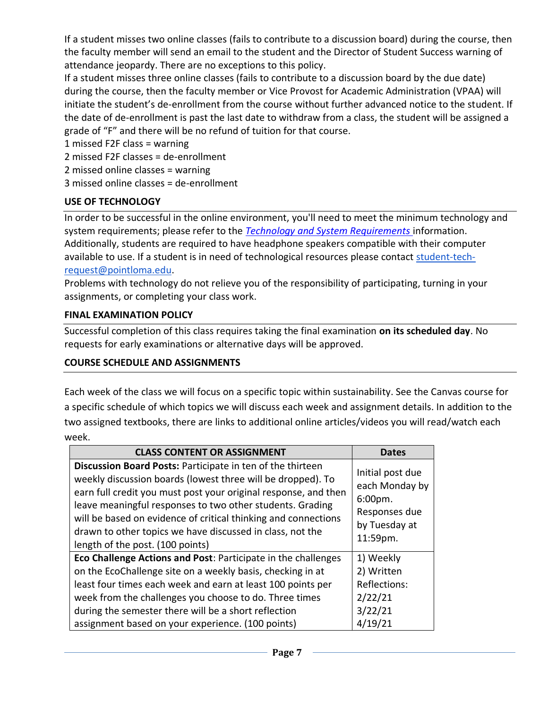If a student misses two online classes (fails to contribute to a discussion board) during the course, then the faculty member will send an email to the student and the Director of Student Success warning of attendance jeopardy. There are no exceptions to this policy.

If a student misses three online classes (fails to contribute to a discussion board by the due date) during the course, then the faculty member or Vice Provost for Academic Administration (VPAA) will initiate the student's de-enrollment from the course without further advanced notice to the student. If the date of de-enrollment is past the last date to withdraw from a class, the student will be assigned a grade of "F" and there will be no refund of tuition for that course.

1 missed F2F class = warning

2 missed F2F classes = de-enrollment

2 missed online classes = warning

3 missed online classes = de-enrollment

## **USE OF TECHNOLOGY**

In order to be successful in the online environment, you'll need to meet the minimum technology and system requirements; please refer to the *[Technology and System Requirements](https://help.pointloma.edu/TDClient/1808/Portal/KB/ArticleDet?ID=108349)* information. Additionally, students are required to have headphone speakers compatible with their computer available to use. If a student is in need of technological resources please contact [student-tech](mailto:student-tech-request@pointloma.edu)[request@pointloma.edu.](mailto:student-tech-request@pointloma.edu)

Problems with technology do not relieve you of the responsibility of participating, turning in your assignments, or completing your class work.

### **FINAL EXAMINATION POLICY**

Successful completion of this class requires taking the final examination **on its scheduled day**. No requests for early examinations or alternative days will be approved.

#### **COURSE SCHEDULE AND ASSIGNMENTS**

Each week of the class we will focus on a specific topic within sustainability. See the Canvas course for a specific schedule of which topics we will discuss each week and assignment details. In addition to the two assigned textbooks, there are links to additional online articles/videos you will read/watch each week.

| <b>CLASS CONTENT OR ASSIGNMENT</b>                                                                                                                                                                                                                                                                                                                                                                                           | Dates                                                                                       |
|------------------------------------------------------------------------------------------------------------------------------------------------------------------------------------------------------------------------------------------------------------------------------------------------------------------------------------------------------------------------------------------------------------------------------|---------------------------------------------------------------------------------------------|
| Discussion Board Posts: Participate in ten of the thirteen<br>weekly discussion boards (lowest three will be dropped). To<br>earn full credit you must post your original response, and then<br>leave meaningful responses to two other students. Grading<br>will be based on evidence of critical thinking and connections<br>drawn to other topics we have discussed in class, not the<br>length of the post. (100 points) | Initial post due<br>each Monday by<br>6:00pm.<br>Responses due<br>by Tuesday at<br>11:59pm. |
| Eco Challenge Actions and Post: Participate in the challenges                                                                                                                                                                                                                                                                                                                                                                | 1) Weekly                                                                                   |
| on the EcoChallenge site on a weekly basis, checking in at                                                                                                                                                                                                                                                                                                                                                                   | 2) Written                                                                                  |
| least four times each week and earn at least 100 points per                                                                                                                                                                                                                                                                                                                                                                  | Reflections:                                                                                |
| week from the challenges you choose to do. Three times                                                                                                                                                                                                                                                                                                                                                                       | 2/22/21                                                                                     |
| during the semester there will be a short reflection                                                                                                                                                                                                                                                                                                                                                                         | 3/22/21                                                                                     |
| assignment based on your experience. (100 points)                                                                                                                                                                                                                                                                                                                                                                            | 4/19/21                                                                                     |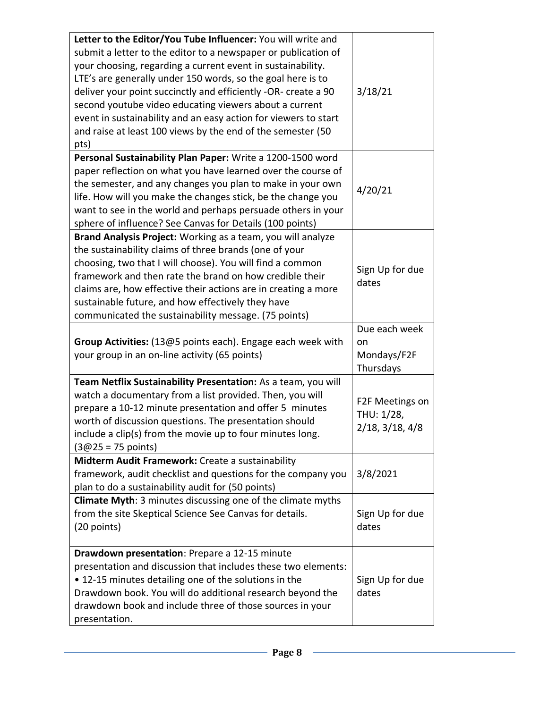| Letter to the Editor/You Tube Influencer: You will write and                                                            |                          |
|-------------------------------------------------------------------------------------------------------------------------|--------------------------|
| submit a letter to the editor to a newspaper or publication of                                                          |                          |
| your choosing, regarding a current event in sustainability.                                                             |                          |
| LTE's are generally under 150 words, so the goal here is to                                                             |                          |
| deliver your point succinctly and efficiently -OR- create a 90                                                          | 3/18/21                  |
| second youtube video educating viewers about a current                                                                  |                          |
| event in sustainability and an easy action for viewers to start                                                         |                          |
| and raise at least 100 views by the end of the semester (50                                                             |                          |
| pts)                                                                                                                    |                          |
| Personal Sustainability Plan Paper: Write a 1200-1500 word                                                              |                          |
| paper reflection on what you have learned over the course of                                                            |                          |
| the semester, and any changes you plan to make in your own                                                              |                          |
| life. How will you make the changes stick, be the change you                                                            | 4/20/21                  |
| want to see in the world and perhaps persuade others in your                                                            |                          |
| sphere of influence? See Canvas for Details (100 points)                                                                |                          |
| Brand Analysis Project: Working as a team, you will analyze                                                             |                          |
| the sustainability claims of three brands (one of your                                                                  |                          |
| choosing, two that I will choose). You will find a common                                                               |                          |
| framework and then rate the brand on how credible their                                                                 | Sign Up for due          |
| claims are, how effective their actions are in creating a more                                                          | dates                    |
| sustainable future, and how effectively they have                                                                       |                          |
| communicated the sustainability message. (75 points)                                                                    |                          |
|                                                                                                                         | Due each week            |
|                                                                                                                         |                          |
|                                                                                                                         |                          |
| Group Activities: (13@5 points each). Engage each week with                                                             | on                       |
| your group in an on-line activity (65 points)                                                                           | Mondays/F2F              |
|                                                                                                                         | Thursdays                |
| Team Netflix Sustainability Presentation: As a team, you will                                                           |                          |
| watch a documentary from a list provided. Then, you will                                                                | F2F Meetings on          |
| prepare a 10-12 minute presentation and offer 5 minutes                                                                 | THU: 1/28,               |
| worth of discussion questions. The presentation should                                                                  | $2/18$ , $3/18$ , $4/8$  |
| include a clip(s) from the movie up to four minutes long.                                                               |                          |
| $(3@25 = 75$ points)<br>Midterm Audit Framework: Create a sustainability                                                |                          |
|                                                                                                                         |                          |
| framework, audit checklist and questions for the company you                                                            | 3/8/2021                 |
| plan to do a sustainability audit for (50 points)<br><b>Climate Myth: 3 minutes discussing one of the climate myths</b> |                          |
|                                                                                                                         |                          |
| from the site Skeptical Science See Canvas for details.                                                                 | Sign Up for due          |
| (20 points)                                                                                                             | dates                    |
| Drawdown presentation: Prepare a 12-15 minute                                                                           |                          |
| presentation and discussion that includes these two elements:                                                           |                          |
| • 12-15 minutes detailing one of the solutions in the                                                                   |                          |
|                                                                                                                         | Sign Up for due<br>dates |
| Drawdown book. You will do additional research beyond the<br>drawdown book and include three of those sources in your   |                          |